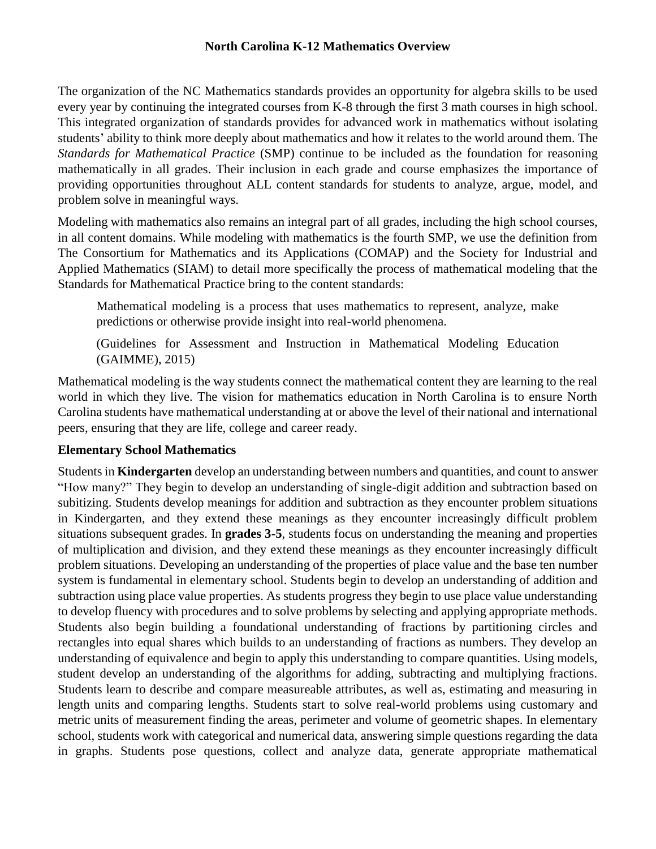### **North Carolina K-12 Mathematics Overview**

The organization of the NC Mathematics standards provides an opportunity for algebra skills to be used every year by continuing the integrated courses from K-8 through the first 3 math courses in high school. This integrated organization of standards provides for advanced work in mathematics without isolating students' ability to think more deeply about mathematics and how it relates to the world around them. The *Standards for Mathematical Practice* (SMP) continue to be included as the foundation for reasoning mathematically in all grades. Their inclusion in each grade and course emphasizes the importance of providing opportunities throughout ALL content standards for students to analyze, argue, model, and problem solve in meaningful ways.

Modeling with mathematics also remains an integral part of all grades, including the high school courses, in all content domains. While modeling with mathematics is the fourth SMP, we use the definition from The Consortium for Mathematics and its Applications (COMAP) and the Society for Industrial and Applied Mathematics (SIAM) to detail more specifically the process of mathematical modeling that the Standards for Mathematical Practice bring to the content standards:

Mathematical modeling is a process that uses mathematics to represent, analyze, make predictions or otherwise provide insight into real-world phenomena.

(Guidelines for Assessment and Instruction in Mathematical Modeling Education (GAIMME), 2015)

Mathematical modeling is the way students connect the mathematical content they are learning to the real world in which they live. The vision for mathematics education in North Carolina is to ensure North Carolina students have mathematical understanding at or above the level of their national and international peers, ensuring that they are life, college and career ready.

### **Elementary School Mathematics**

Students in **Kindergarten** develop an understanding between numbers and quantities, and count to answer "How many?" They begin to develop an understanding of single-digit addition and subtraction based on subitizing. Students develop meanings for addition and subtraction as they encounter problem situations in Kindergarten, and they extend these meanings as they encounter increasingly difficult problem situations subsequent grades. In **grades 3-5**, students focus on understanding the meaning and properties of multiplication and division, and they extend these meanings as they encounter increasingly difficult problem situations. Developing an understanding of the properties of place value and the base ten number system is fundamental in elementary school. Students begin to develop an understanding of addition and subtraction using place value properties. As students progress they begin to use place value understanding to develop fluency with procedures and to solve problems by selecting and applying appropriate methods. Students also begin building a foundational understanding of fractions by partitioning circles and rectangles into equal shares which builds to an understanding of fractions as numbers. They develop an understanding of equivalence and begin to apply this understanding to compare quantities. Using models, student develop an understanding of the algorithms for adding, subtracting and multiplying fractions. Students learn to describe and compare measureable attributes, as well as, estimating and measuring in length units and comparing lengths. Students start to solve real-world problems using customary and metric units of measurement finding the areas, perimeter and volume of geometric shapes. In elementary school, students work with categorical and numerical data, answering simple questions regarding the data in graphs. Students pose questions, collect and analyze data, generate appropriate mathematical